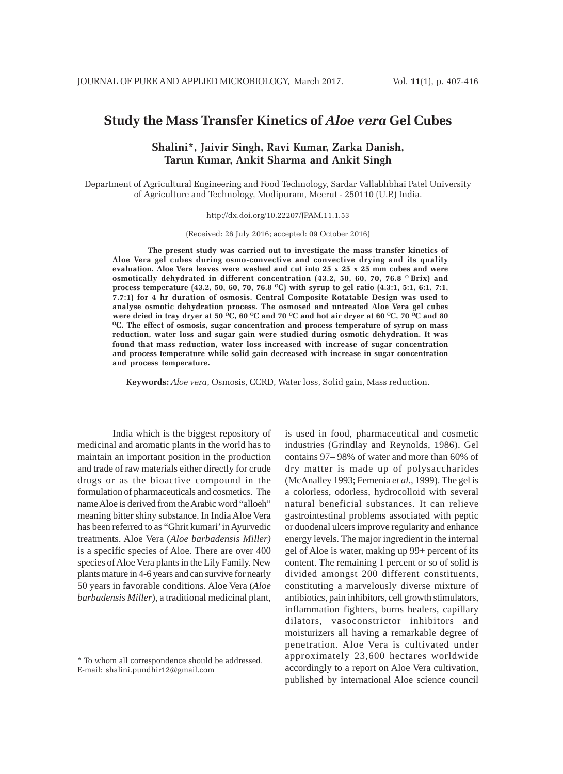# **Study the Mass Transfer Kinetics of** *Aloe vera* **Gel Cubes**

# **Shalini\*, Jaivir Singh, Ravi Kumar, Zarka Danish, Tarun Kumar, Ankit Sharma and Ankit Singh**

Department of Agricultural Engineering and Food Technology, Sardar Vallabhbhai Patel University of Agriculture and Technology, Modipuram, Meerut - 250110 (U.P.) India.

http://dx.doi.org/10.22207/JPAM.11.1.53

(Received: 26 July 2016; accepted: 09 October 2016)

**The present study was carried out to investigate the mass transfer kinetics of Aloe Vera gel cubes during osmo-convective and convective drying and its quality evaluation. Aloe Vera leaves were washed and cut into 25 x 25 x 25 mm cubes and were** osmotically dehydrated in different concentration (43.2, 50, 60, 70, 76.8 <sup>o</sup> Brix) and **process temperature (43.2, 50, 60, 70, 76.8 OC) with syrup to gel ratio (4.3:1, 5:1, 6:1, 7:1, 7.7:1) for 4 hr duration of osmosis. Central Composite Rotatable Design was used to analyse osmotic dehydration process. The osmosed and untreated Aloe Vera gel cubes** were dried in tray dryer at 50 <sup>o</sup>C, 60 <sup>o</sup>C and 70 <sup>o</sup>C and hot air dryer at 60 <sup>o</sup>C, 70 <sup>o</sup>C and 80 **OC. The effect of osmosis, sugar concentration and process temperature of syrup on mass reduction, water loss and sugar gain were studied during osmotic dehydration. It was found that mass reduction, water loss increased with increase of sugar concentration and process temperature while solid gain decreased with increase in sugar concentration and process temperature.**

**Keywords:** *Aloe vera*, Osmosis, CCRD, Water loss, Solid gain, Mass reduction.

India which is the biggest repository of medicinal and aromatic plants in the world has to maintain an important position in the production and trade of raw materials either directly for crude drugs or as the bioactive compound in the formulation of pharmaceuticals and cosmetics. The name Aloe is derived from the Arabic word "alloeh" meaning bitter shiny substance. In India Aloe Vera has been referred to as "Ghrit kumari' in Ayurvedic treatments. Aloe Vera (*Aloe barbadensis Miller)* is a specific species of Aloe. There are over 400 species of Aloe Vera plants in the Lily Family. New plants mature in 4-6 years and can survive for nearly 50 years in favorable conditions. Aloe Vera (*Aloe barbadensis Miller*), a traditional medicinal plant,

is used in food, pharmaceutical and cosmetic industries (Grindlay and Reynolds, 1986). Gel contains 97– 98% of water and more than 60% of dry matter is made up of polysaccharides (McAnalley 1993; Femenia *et al.,* 1999). The gel is a colorless, odorless, hydrocolloid with several natural beneficial substances. It can relieve gastrointestinal problems associated with peptic or duodenal ulcers improve regularity and enhance energy levels. The major ingredient in the internal gel of Aloe is water, making up 99+ percent of its content. The remaining 1 percent or so of solid is divided amongst 200 different constituents, constituting a marvelously diverse mixture of antibiotics, pain inhibitors, cell growth stimulators, inflammation fighters, burns healers, capillary dilators, vasoconstrictor inhibitors and moisturizers all having a remarkable degree of penetration. Aloe Vera is cultivated under approximately 23,600 hectares worldwide accordingly to a report on Aloe Vera cultivation, published by international Aloe science council

<sup>\*</sup> To whom all correspondence should be addressed. E-mail: shalini.pundhir12@gmail.com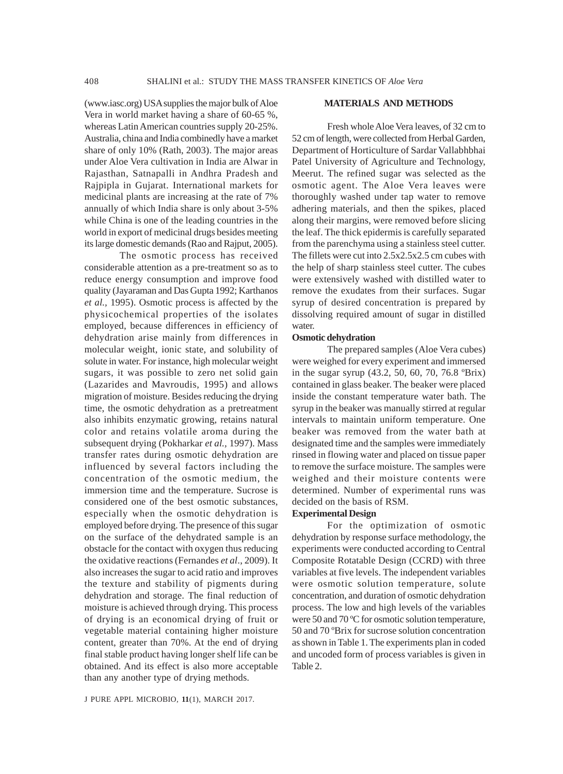(www.iasc.org) USA supplies the major bulk of Aloe Vera in world market having a share of 60-65 %, whereas Latin American countries supply 20-25%. Australia, china and India combinedly have a market share of only 10% (Rath, 2003). The major areas under Aloe Vera cultivation in India are Alwar in Rajasthan, Satnapalli in Andhra Pradesh and Rajpipla in Gujarat. International markets for medicinal plants are increasing at the rate of 7% annually of which India share is only about 3-5% while China is one of the leading countries in the world in export of medicinal drugs besides meeting its large domestic demands (Rao and Rajput, 2005).

The osmotic process has received considerable attention as a pre-treatment so as to reduce energy consumption and improve food quality (Jayaraman and Das Gupta 1992; Karthanos *et al.,* 1995). Osmotic process is affected by the physicochemical properties of the isolates employed, because differences in efficiency of dehydration arise mainly from differences in molecular weight, ionic state, and solubility of solute in water. For instance, high molecular weight sugars, it was possible to zero net solid gain (Lazarides and Mavroudis, 1995) and allows migration of moisture. Besides reducing the drying time, the osmotic dehydration as a pretreatment also inhibits enzymatic growing, retains natural color and retains volatile aroma during the subsequent drying (Pokharkar *et al.,* 1997). Mass transfer rates during osmotic dehydration are influenced by several factors including the concentration of the osmotic medium, the immersion time and the temperature. Sucrose is considered one of the best osmotic substances, especially when the osmotic dehydration is employed before drying. The presence of this sugar on the surface of the dehydrated sample is an obstacle for the contact with oxygen thus reducing the oxidative reactions (Fernandes *et al*., 2009). It also increases the sugar to acid ratio and improves the texture and stability of pigments during dehydration and storage. The final reduction of moisture is achieved through drying. This process of drying is an economical drying of fruit or vegetable material containing higher moisture content, greater than 70%. At the end of drying final stable product having longer shelf life can be obtained. And its effect is also more acceptable than any another type of drying methods.

#### **MATERIALS AND METHODS**

Fresh whole Aloe Vera leaves, of 32 cm to 52 cm of length, were collected from Herbal Garden, Department of Horticulture of Sardar Vallabhbhai Patel University of Agriculture and Technology, Meerut. The refined sugar was selected as the osmotic agent. The Aloe Vera leaves were thoroughly washed under tap water to remove adhering materials, and then the spikes, placed along their margins, were removed before slicing the leaf. The thick epidermis is carefully separated from the parenchyma using a stainless steel cutter. The fillets were cut into 2.5x2.5x2.5 cm cubes with the help of sharp stainless steel cutter. The cubes were extensively washed with distilled water to remove the exudates from their surfaces. Sugar syrup of desired concentration is prepared by dissolving required amount of sugar in distilled water.

#### **Osmotic dehydration**

The prepared samples (Aloe Vera cubes) were weighed for every experiment and immersed in the sugar syrup (43.2, 50, 60, 70, 76.8 ºBrix) contained in glass beaker. The beaker were placed inside the constant temperature water bath. The syrup in the beaker was manually stirred at regular intervals to maintain uniform temperature. One beaker was removed from the water bath at designated time and the samples were immediately rinsed in flowing water and placed on tissue paper to remove the surface moisture. The samples were weighed and their moisture contents were determined. Number of experimental runs was decided on the basis of RSM.

#### **Experimental Design**

For the optimization of osmotic dehydration by response surface methodology, the experiments were conducted according to Central Composite Rotatable Design (CCRD) with three variables at five levels. The independent variables were osmotic solution temperature, solute concentration, and duration of osmotic dehydration process. The low and high levels of the variables were 50 and 70 ºC for osmotic solution temperature, 50 and 70 ºBrix for sucrose solution concentration as shown in Table 1. The experiments plan in coded and uncoded form of process variables is given in Table 2.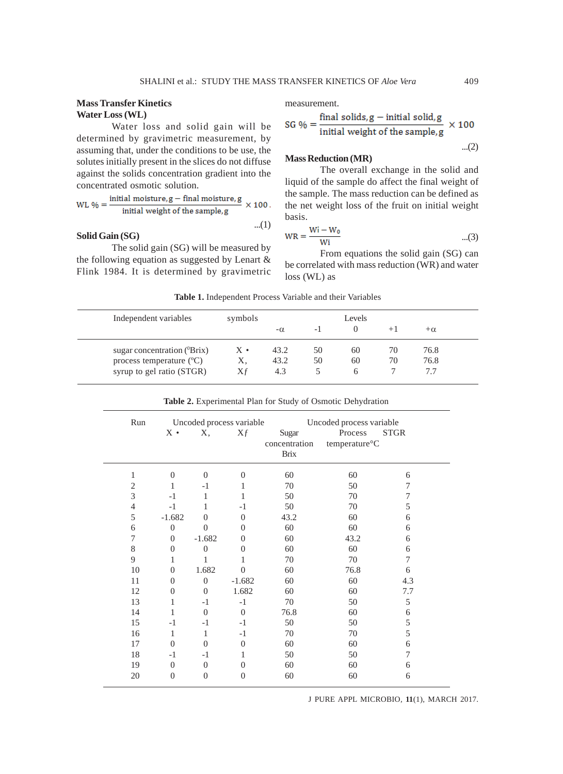# **Mass Transfer Kinetics Water Loss (WL)**

Water loss and solid gain will be determined by gravimetric measurement, by assuming that, under the conditions to be use, the solutes initially present in the slices do not diffuse against the solids concentration gradient into the concentrated osmotic solution.

WL % = 
$$
\frac{\text{initial moisture}, g - \text{final moisture}, g}{\text{initial weight of the sample}, g} \times 100.
$$

## **Solid Gain (SG)**

The solid gain (SG) will be measured by the following equation as suggested by Lenart & Flink 1984. It is determined by gravimetric measurement.

SG % = 
$$
\frac{\text{final solids, g} - \text{initial solid, g}}{\text{initial weight of the sample, g}} \times 100
$$

**Mass Reduction (MR)**

The overall exchange in the solid and liquid of the sample do affect the final weight of the sample. The mass reduction can be defined as the net weight loss of the fruit on initial weight basis.

$$
WR = \frac{Wi - W_0}{Wi}
$$
...(3)

From equations the solid gain (SG) can be correlated with mass reduction (WR) and water loss (WL) as

| Independent variables                 | symbols     |           |     | Levels |    |           |  |
|---------------------------------------|-------------|-----------|-----|--------|----|-----------|--|
|                                       |             | $-\alpha$ | - 1 |        |    | $+\alpha$ |  |
| sugar concentration $(^0\text{Brix})$ | $X \bullet$ | 43.2      | 50  | 60     | 70 | 76.8      |  |
| process temperature $({}^{\circ}C)$   | Х,          | 43.2      | 50  | 60     | 70 | 76.8      |  |
| syrup to gel ratio (STGR)             | Χf          | 4.3       |     |        |    |           |  |

**Table 1.** Independent Process Variable and their Variables

...(1)

| Run            |                |                  | Uncoded process variable |                        | Uncoded process variable              |             |
|----------------|----------------|------------------|--------------------------|------------------------|---------------------------------------|-------------|
|                | $X \cdot$      | Χ,               | Xf                       | Sugar<br>concentration | Process<br>temperature <sup>o</sup> C | <b>STGR</b> |
|                |                |                  |                          | <b>Brix</b>            |                                       |             |
| 1              | $\overline{0}$ | $\Omega$         | $\boldsymbol{0}$         | 60                     | 60                                    | 6           |
| 2              | 1              | $-1$             | 1                        | 70                     | 50                                    | $\tau$      |
| 3              | $-1$           | 1                | 1                        | 50                     | 70                                    | 7           |
| $\overline{4}$ | $-1$           | 1                | $-1$                     | 50                     | 70                                    | 5           |
| 5              | $-1.682$       | $\overline{0}$   | $\theta$                 | 43.2                   | 60                                    | 6           |
| 6              | $\theta$       | $\Omega$         | $\Omega$                 | 60                     | 60                                    | 6           |
| 7              | $\Omega$       | $-1.682$         | $\Omega$                 | 60                     | 43.2                                  | 6           |
| 8              | $\Omega$       | $\theta$         | $\overline{0}$           | 60                     | 60                                    | 6           |
| 9              | 1              | 1                | 1                        | 70                     | 70                                    | $\tau$      |
| 10             | $\overline{0}$ | 1.682            | $\overline{0}$           | 60                     | 76.8                                  | 6           |
| 11             | $\theta$       | $\overline{0}$   | $-1.682$                 | 60                     | 60                                    | 4.3         |
| 12             | $\theta$       | $\overline{0}$   | 1.682                    | 60                     | 60                                    | 7.7         |
| 13             | 1              | $-1$             | $-1$                     | 70                     | 50                                    | 5           |
| 14             | 1              | $\overline{0}$   | $\theta$                 | 76.8                   | 60                                    | 6           |
| 15             | $-1$           | $-1$             | $-1$                     | 50                     | 50                                    | 5           |
| 16             | 1              | 1                | $-1$                     | 70                     | 70                                    | 5           |
| 17             | $\Omega$       | $\Omega$         | $\overline{0}$           | 60                     | 60                                    | 6           |
| 18             | $-1$           | $-1$             | 1                        | 50                     | 50                                    | 7           |
| 19             | $\theta$       | $\boldsymbol{0}$ | $\boldsymbol{0}$         | 60                     | 60                                    | 6           |
| 20             | $\overline{0}$ | $\overline{0}$   | $\overline{0}$           | 60                     | 60                                    | 6           |
|                |                |                  |                          |                        |                                       |             |

**Table 2.** Experimental Plan for Study of Osmotic Dehydration

J PURE APPL MICROBIO*,* **11**(1), MARCH 2017.

...(2)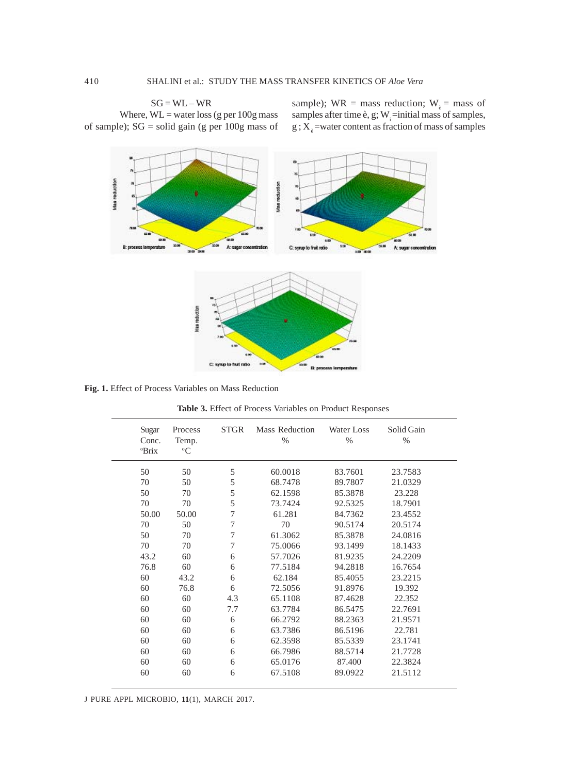# $SG = WL - WR$

Where,  $WL =$  water loss (g per 100g mass of sample); SG = solid gain (g per 100g mass of sample); WR = mass reduction;  $W_e$  = mass of samples after time è, g;  $W_i$  =initial mass of samples,  $g$ ;  $X_e$  =water content as fraction of mass of samples



**Fig. 1.** Effect of Process Variables on Mass Reduction

| Sugar<br>Conc.<br><sup>o</sup> Brix | Process<br>Temp.<br>$\rm ^{o}C$ | <b>STGR</b>    | Mass Reduction<br>$\%$ | Water Loss<br>$\%$ | Solid Gain<br>$\%$ |  |
|-------------------------------------|---------------------------------|----------------|------------------------|--------------------|--------------------|--|
| 50                                  | 50                              | 5              | 60.0018                | 83.7601            | 23.7583            |  |
| 70                                  | 50                              | 5              | 68.7478                | 89.7807            | 21.0329            |  |
| 50                                  | 70                              | 5              | 62.1598                | 85.3878            | 23.228             |  |
| 70                                  | 70                              | 5              | 73.7424                | 92.5325            | 18.7901            |  |
| 50.00                               | 50.00                           | 7              | 61.281                 | 84.7362            | 23.4552            |  |
| 70                                  | 50                              | $\overline{7}$ | 70                     | 90.5174            | 20.5174            |  |
| 50                                  | 70                              | $\overline{7}$ | 61.3062                | 85.3878            | 24.0816            |  |
| 70                                  | 70                              | $\overline{7}$ | 75.0066                | 93.1499            | 18.1433            |  |
| 43.2                                | 60                              | 6              | 57.7026                | 81.9235            | 24.2209            |  |
| 76.8                                | 60                              | 6              | 77.5184                | 94.2818            | 16.7654            |  |
| 60                                  | 43.2                            | 6              | 62.184                 | 85.4055            | 23.2215            |  |
| 60                                  | 76.8                            | 6              | 72.5056                | 91.8976            | 19.392             |  |
| 60                                  | 60                              | 4.3            | 65.1108                | 87.4628            | 22.352             |  |
| 60                                  | 60                              | 7.7            | 63.7784                | 86.5475            | 22.7691            |  |
| 60                                  | 60                              | 6              | 66.2792                | 88.2363            | 21.9571            |  |
| 60                                  | 60                              | 6              | 63.7386                | 86.5196            | 22.781             |  |
| 60                                  | 60                              | 6              | 62.3598                | 85.5339            | 23.1741            |  |
| 60                                  | 60                              | 6              | 66.7986                | 88.5714            | 21.7728            |  |
| 60                                  | 60                              | 6              | 65.0176                | 87.400             | 22.3824            |  |
| 60                                  | 60                              | 6              | 67.5108                | 89.0922            | 21.5112            |  |
|                                     |                                 |                |                        |                    |                    |  |

**Table 3.** Effect of Process Variables on Product Responses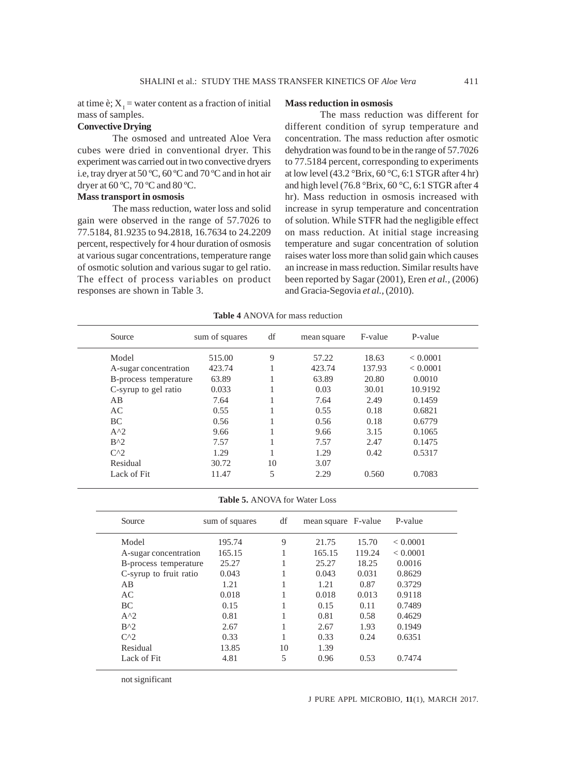at time è;  $X_1$  = water content as a fraction of initial mass of samples.

#### **Convective Drying**

The osmosed and untreated Aloe Vera cubes were dried in conventional dryer. This experiment was carried out in two convective dryers i.e, tray dryer at 50 ºC, 60 ºC and 70 ºC and in hot air dryer at 60 ºC, 70 ºC and 80 ºC.

#### **Mass transport in osmosis**

The mass reduction, water loss and solid gain were observed in the range of 57.7026 to 77.5184, 81.9235 to 94.2818, 16.7634 to 24.2209 percent, respectively for 4 hour duration of osmosis at various sugar concentrations, temperature range of osmotic solution and various sugar to gel ratio. The effect of process variables on product responses are shown in Table 3.

#### **Mass reduction in osmosis**

The mass reduction was different for different condition of syrup temperature and concentration. The mass reduction after osmotic dehydration was found to be in the range of 57.7026 to 77.5184 percent, corresponding to experiments at low level  $(43.2 \text{ °Brix}, 60 \text{ °C}, 6:1 \text{ STGR after 4 hr})$ and high level (76.8 °Brix, 60 °C, 6:1 STGR after 4 hr). Mass reduction in osmosis increased with increase in syrup temperature and concentration of solution. While STFR had the negligible effect on mass reduction. At initial stage increasing temperature and sugar concentration of solution raises water loss more than solid gain which causes an increase in mass reduction. Similar results have been reported by Sagar (2001), Eren *et al.,* (2006) and Gracia-Segovia *et al.,* (2010).

| Source                | sum of squares | df | mean square | F-value | P-value  |
|-----------------------|----------------|----|-------------|---------|----------|
| Model                 | 515.00         | 9  | 57.22       | 18.63   | < 0.0001 |
| A-sugar concentration | 423.74         | л. | 423.74      | 137.93  | < 0.0001 |
| B-process temperature | 63.89          | л. | 63.89       | 20.80   | 0.0010   |
| C-syrup to gel ratio  | 0.033          | J. | 0.03        | 30.01   | 10.9192  |
| AB                    | 7.64           | J. | 7.64        | 2.49    | 0.1459   |
| AC                    | 0.55           |    | 0.55        | 0.18    | 0.6821   |
| BC                    | 0.56           |    | 0.56        | 0.18    | 0.6779   |
| $A^2$                 | 9.66           |    | 9.66        | 3.15    | 0.1065   |
| $B^{\wedge}2$         | 7.57           |    | 7.57        | 2.47    | 0.1475   |
| $C^{0,2}$             | 1.29           |    | 1.29        | 0.42    | 0.5317   |
| Residual              | 30.72          | 10 | 3.07        |         |          |
| Lack of Fit.          | 11.47          | 5  | 2.29        | 0.560   | 0.7083   |

**Table 5.** ANOVA for Water Loss

| Source                 | sum of squares | df | mean square F-value |        | P-value  |
|------------------------|----------------|----|---------------------|--------|----------|
| Model                  | 195.74         | 9  | 21.75               | 15.70  | < 0.0001 |
| A-sugar concentration  | 165.15         |    | 165.15              | 119.24 | < 0.0001 |
| B-process temperature  | 25.27          | J. | 25.27               | 18.25  | 0.0016   |
| C-syrup to fruit ratio | 0.043          |    | 0.043               | 0.031  | 0.8629   |
| AB                     | 1.21           |    | 1.21                | 0.87   | 0.3729   |
| AC                     | 0.018          |    | 0.018               | 0.013  | 0.9118   |
| <b>BC</b>              | 0.15           |    | 0.15                | 0.11   | 0.7489   |
| $A^{\wedge}2$          | 0.81           |    | 0.81                | 0.58   | 0.4629   |
| $B^{\wedge}$           | 2.67           |    | 2.67                | 1.93   | 0.1949   |
| $C^{0,2}$              | 0.33           |    | 0.33                | 0.24   | 0.6351   |
| Residual               | 13.85          | 10 | 1.39                |        |          |
| Lack of Fit            | 4.81           | 5  | 0.96                | 0.53   | 0.7474   |

not significant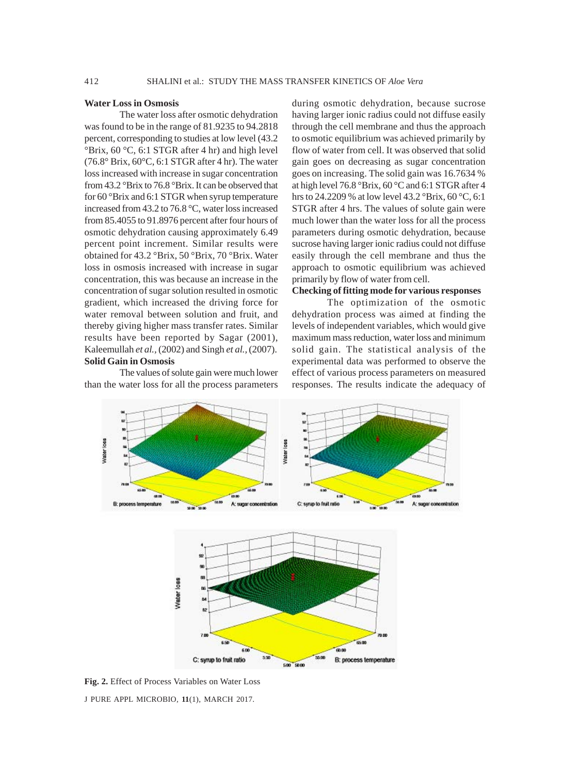#### **Water Loss in Osmosis**

The water loss after osmotic dehydration was found to be in the range of 81.9235 to 94.2818 percent, corresponding to studies at low level (43.2 °Brix, 60 °C, 6:1 STGR after 4 hr) and high level (76.8° Brix, 60°C, 6:1 STGR after 4 hr). The water loss increased with increase in sugar concentration from 43.2 °Brix to 76.8 °Brix. It can be observed that for 60 °Brix and 6:1 STGR when syrup temperature increased from 43.2 to 76.8 °C, water loss increased from 85.4055 to 91.8976 percent after four hours of osmotic dehydration causing approximately 6.49 percent point increment. Similar results were obtained for 43.2 °Brix, 50 °Brix, 70 °Brix. Water loss in osmosis increased with increase in sugar concentration, this was because an increase in the concentration of sugar solution resulted in osmotic gradient, which increased the driving force for water removal between solution and fruit, and thereby giving higher mass transfer rates. Similar results have been reported by Sagar (2001), Kaleemullah *et al.,* (2002) and Singh *et al.,* (2007). **Solid Gain in Osmosis**

The values of solute gain were much lower than the water loss for all the process parameters

during osmotic dehydration, because sucrose having larger ionic radius could not diffuse easily through the cell membrane and thus the approach to osmotic equilibrium was achieved primarily by flow of water from cell. It was observed that solid gain goes on decreasing as sugar concentration goes on increasing. The solid gain was 16.7634 % at high level 76.8 °Brix, 60 °C and 6:1 STGR after 4 hrs to 24.2209 % at low level 43.2 °Brix, 60 °C, 6:1 STGR after 4 hrs. The values of solute gain were much lower than the water loss for all the process parameters during osmotic dehydration, because sucrose having larger ionic radius could not diffuse easily through the cell membrane and thus the approach to osmotic equilibrium was achieved primarily by flow of water from cell.

# **Checking of fitting mode for various responses**

The optimization of the osmotic dehydration process was aimed at finding the levels of independent variables, which would give maximum mass reduction, water loss and minimum solid gain. The statistical analysis of the experimental data was performed to observe the effect of various process parameters on measured responses. The results indicate the adequacy of



J PURE APPL MICROBIO*,* **11**(1), MARCH 2017. **Fig. 2.** Effect of Process Variables on Water Loss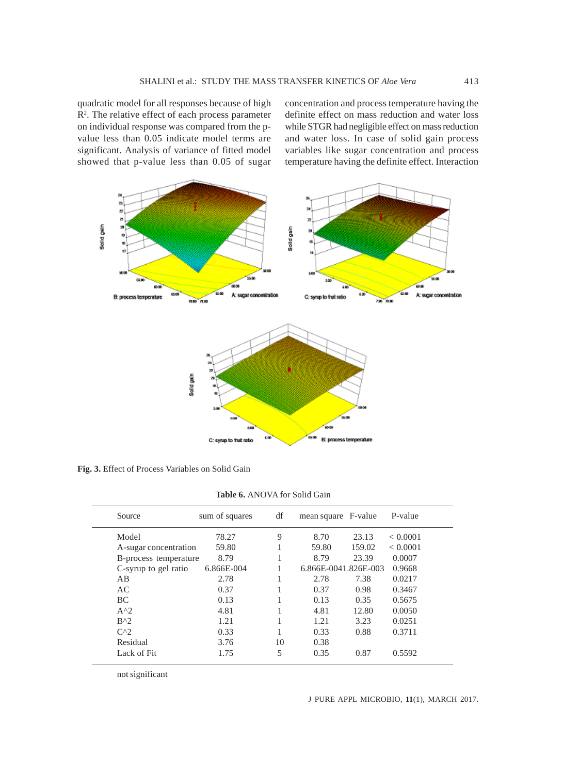quadratic model for all responses because of high R<sup>2</sup>. The relative effect of each process parameter on individual response was compared from the pvalue less than 0.05 indicate model terms are significant. Analysis of variance of fitted model showed that p-value less than 0.05 of sugar

concentration and process temperature having the definite effect on mass reduction and water loss while STGR had negligible effect on mass reduction and water loss. In case of solid gain process variables like sugar concentration and process temperature having the definite effect. Interaction



**Fig. 3.** Effect of Process Variables on Solid Gain

**Table 6.** ANOVA for Solid Gain

| Source                | sum of squares | df | mean square F-value  |        | P-value  |
|-----------------------|----------------|----|----------------------|--------|----------|
| Model                 | 78.27          | 9  | 8.70                 | 23.13  | < 0.0001 |
| A-sugar concentration | 59.80          |    | 59.80                | 159.02 | < 0.0001 |
| B-process temperature | 8.79           |    | 8.79                 | 23.39  | 0.0007   |
| C-syrup to gel ratio  | 6.866E-004     |    | 6.866E-0041.826E-003 |        | 0.9668   |
| AB                    | 2.78           |    | 2.78                 | 7.38   | 0.0217   |
| AC                    | 0.37           |    | 0.37                 | 0.98   | 0.3467   |
| <b>BC</b>             | 0.13           |    | 0.13                 | 0.35   | 0.5675   |
| $A^2$                 | 4.81           |    | 4.81                 | 12.80  | 0.0050   |
| $B^{\wedge}$          | 1.21           |    | 1.21                 | 3.23   | 0.0251   |
| $C^{0,2}$             | 0.33           |    | 0.33                 | 0.88   | 0.3711   |
| Residual              | 3.76           | 10 | 0.38                 |        |          |
| Lack of Fit.          | 1.75           | 5  | 0.35                 | 0.87   | 0.5592   |

not significant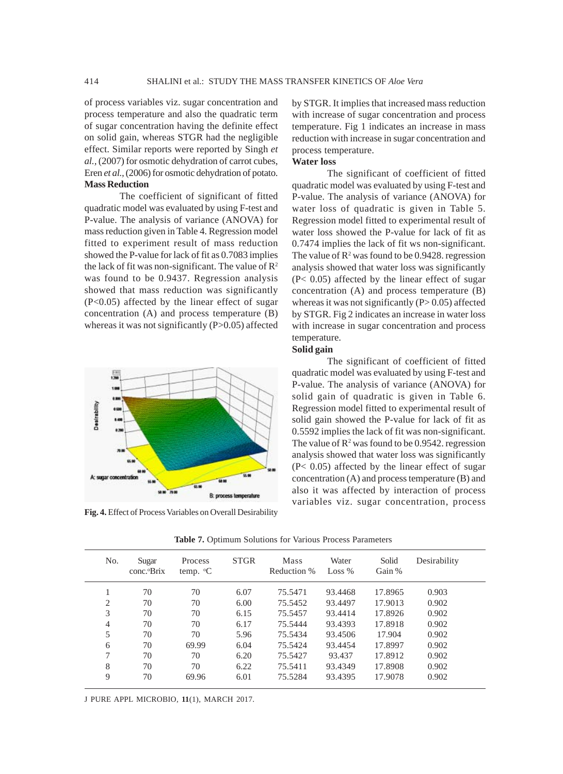of process variables viz. sugar concentration and process temperature and also the quadratic term of sugar concentration having the definite effect on solid gain, whereas STGR had the negligible effect. Similar reports were reported by Singh *et al.,* (2007) for osmotic dehydration of carrot cubes, Eren *et al.,* (2006) for osmotic dehydration of potato. **Mass Reduction**

The coefficient of significant of fitted quadratic model was evaluated by using F-test and P-value. The analysis of variance (ANOVA) for mass reduction given in Table 4. Regression model fitted to experiment result of mass reduction showed the P-value for lack of fit as 0.7083 implies the lack of fit was non-significant. The value of  $\mathbb{R}^2$ was found to be 0.9437. Regression analysis showed that mass reduction was significantly (P<0.05) affected by the linear effect of sugar concentration (A) and process temperature (B) whereas it was not significantly (P>0.05) affected



**Fig. 4.** Effect of Process Variables on Overall Desirability

by STGR. It implies that increased mass reduction with increase of sugar concentration and process temperature. Fig 1 indicates an increase in mass reduction with increase in sugar concentration and process temperature.

### **Water loss**

The significant of coefficient of fitted quadratic model was evaluated by using F-test and P-value. The analysis of variance (ANOVA) for water loss of quadratic is given in Table 5. Regression model fitted to experimental result of water loss showed the P-value for lack of fit as 0.7474 implies the lack of fit ws non-significant. The value of  $\mathbb{R}^2$  was found to be 0.9428. regression analysis showed that water loss was significantly (P< 0.05) affected by the linear effect of sugar concentration (A) and process temperature (B) whereas it was not significantly  $(P> 0.05)$  affected by STGR. Fig 2 indicates an increase in water loss with increase in sugar concentration and process temperature.

### **Solid gain**

The significant of coefficient of fitted quadratic model was evaluated by using F-test and P-value. The analysis of variance (ANOVA) for solid gain of quadratic is given in Table 6. Regression model fitted to experimental result of solid gain showed the P-value for lack of fit as 0.5592 implies the lack of fit was non-significant. The value of  $\mathbb{R}^2$  was found to be 0.9542. regression analysis showed that water loss was significantly (P< 0.05) affected by the linear effect of sugar concentration (A) and process temperature (B) and also it was affected by interaction of process variables viz. sugar concentration, process

| No.            | Sugar<br>conc. <sup>o</sup> Brix | Process<br>temp. $\mathrm{C}$ | <b>STGR</b> | Mass<br>Reduction % | Water<br>Loss $%$ | Solid<br>Gain % | Desirability |
|----------------|----------------------------------|-------------------------------|-------------|---------------------|-------------------|-----------------|--------------|
|                | 70                               | 70                            | 6.07        | 75.5471             | 93.4468           | 17.8965         | 0.903        |
| $\overline{c}$ | 70                               | 70                            | 6.00        | 75.5452             | 93.4497           | 17.9013         | 0.902        |
| 3              | 70                               | 70                            | 6.15        | 75.5457             | 93.4414           | 17.8926         | 0.902        |
| 4              | 70                               | 70                            | 6.17        | 75.5444             | 93.4393           | 17.8918         | 0.902        |
| 5              | 70                               | 70                            | 5.96        | 75.5434             | 93.4506           | 17.904          | 0.902        |
| 6              | 70                               | 69.99                         | 6.04        | 75.5424             | 93.4454           | 17.8997         | 0.902        |
| 7              | 70                               | 70                            | 6.20        | 75.5427             | 93.437            | 17.8912         | 0.902        |
| 8              | 70                               | 70                            | 6.22        | 75.5411             | 93.4349           | 17.8908         | 0.902        |
| 9              | 70                               | 69.96                         | 6.01        | 75.5284             | 93.4395           | 17.9078         | 0.902        |

**Table 7.** Optimum Solutions for Various Process Parameters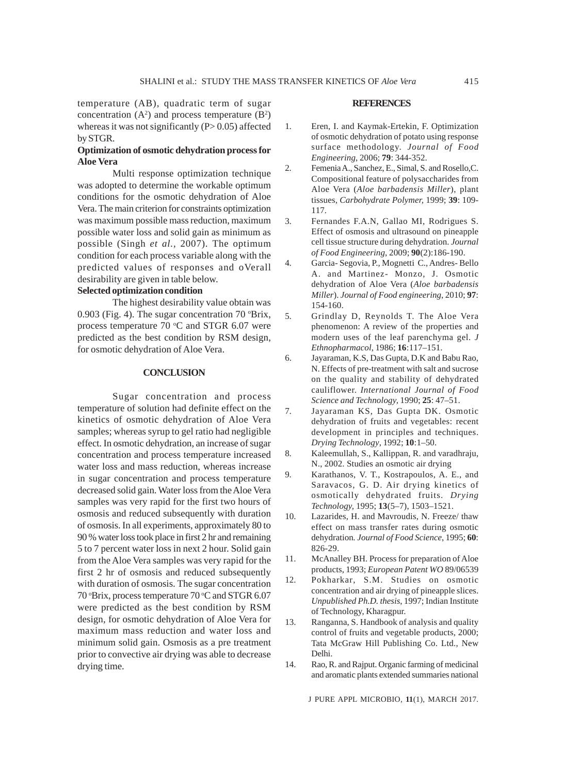temperature (AB), quadratic term of sugar concentration  $(A^2)$  and process temperature  $(B^2)$ whereas it was not significantly  $(P> 0.05)$  affected by STGR.

# **Optimization of osmotic dehydration process for Aloe Vera**

Multi response optimization technique was adopted to determine the workable optimum conditions for the osmotic dehydration of Aloe Vera. The main criterion for constraints optimization was maximum possible mass reduction, maximum possible water loss and solid gain as minimum as possible (Singh *et al.,* 2007). The optimum condition for each process variable along with the predicted values of responses and oVerall desirability are given in table below.

# **Selected optimization condition**

The highest desirability value obtain was 0.903 (Fig. 4). The sugar concentration 70 °Brix, process temperature  $70$  °C and STGR 6.07 were predicted as the best condition by RSM design, for osmotic dehydration of Aloe Vera.

# **CONCLUSION**

Sugar concentration and process temperature of solution had definite effect on the kinetics of osmotic dehydration of Aloe Vera samples; whereas syrup to gel ratio had negligible effect. In osmotic dehydration, an increase of sugar concentration and process temperature increased water loss and mass reduction, whereas increase in sugar concentration and process temperature decreased solid gain. Water loss from the Aloe Vera samples was very rapid for the first two hours of osmosis and reduced subsequently with duration of osmosis. In all experiments, approximately 80 to 90 % water loss took place in first 2 hr and remaining 5 to 7 percent water loss in next 2 hour. Solid gain from the Aloe Vera samples was very rapid for the first 2 hr of osmosis and reduced subsequently with duration of osmosis. The sugar concentration 70 °Brix, process temperature 70 °C and STGR 6.07 were predicted as the best condition by RSM design, for osmotic dehydration of Aloe Vera for maximum mass reduction and water loss and minimum solid gain. Osmosis as a pre treatment prior to convective air drying was able to decrease drying time.

#### **REFERENCES**

- 1. Eren, I. and Kaymak-Ertekin, F. Optimization of osmotic dehydration of potato using response surface methodology. *Journal of Food Engineering*, 2006; **79**: 344-352.
- 2. Femenia A., Sanchez, E., Simal, S. and Rosello,C. Compositional feature of polysaccharides from Aloe Vera (*Aloe barbadensis Miller*), plant tissues*, Carbohydrate Polymer,* 1999; **39**: 109- 117.
- 3. Fernandes F.A.N, Gallao MI, Rodrigues S. Effect of osmosis and ultrasound on pineapple cell tissue structure during dehydration. *Journal of Food Engineering*, 2009; **90**(2):186-190.
- 4. Garcia- Segovia, P., Mognetti C., Andres- Bello A. and Martinez- Monzo, J. Osmotic dehydration of Aloe Vera (*Aloe barbadensis Miller*). *Journal of Food engineering*, 2010; **97**: 154-160.
- 5. Grindlay D, Reynolds T. The Aloe Vera phenomenon: A review of the properties and modern uses of the leaf parenchyma gel. *J Ethnopharmacol*, 1986; **16**:117–151.
- 6. Jayaraman, K.S, Das Gupta, D.K and Babu Rao, N. Effects of pre-treatment with salt and sucrose on the quality and stability of dehydrated cauliflower. *International Journal of Food Science and Technology,* 1990; **25**: 47–51.
- 7. Jayaraman KS, Das Gupta DK. Osmotic dehydration of fruits and vegetables: recent development in principles and techniques. *Drying Technology*, 1992; **10**:1–50.
- 8. Kaleemullah, S., Kallippan, R. and varadhraju, N., 2002. Studies an osmotic air drying
- 9. Karathanos, V. T., Kostrapoulos, A. E., and Saravacos, G. D. Air drying kinetics of osmotically dehydrated fruits. *Drying Technology,* 1995; **13**(5–7), 1503–1521.
- 10. Lazarides, H. and Mavroudis, N. Freeze/ thaw effect on mass transfer rates during osmotic dehydration*. Journal of Food Science*, 1995; **60**: 826-29.
- 11. McAnalley BH. Process for preparation of Aloe products, 1993; *European Patent WO* 89/06539
- 12. Pokharkar, S.M. Studies on osmotic concentration and air drying of pineapple slices. *Unpublished Ph.D. thesis*, 1997; Indian Institute of Technology, Kharagpur.
- 13. Ranganna, S. Handbook of analysis and quality control of fruits and vegetable products, 2000; Tata McGraw Hill Publishing Co. Ltd., New Delhi.
- 14. Rao, R. and Rajput. Organic farming of medicinal and aromatic plants extended summaries national